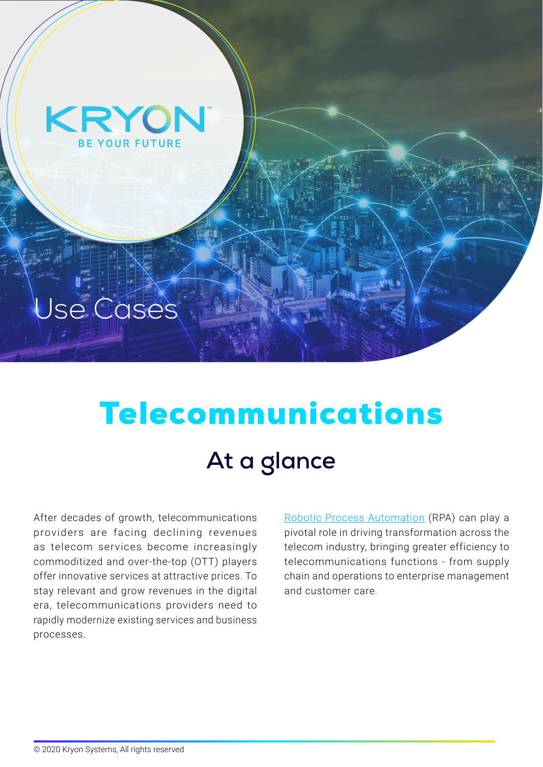

# Use Cases

# Telecommunications At a glance

After decades of growth, telecommunications providers are facing declining revenues as telecom services become increasingly commoditized and over-the-top (OTT) players offer innovative services at attractive prices. To stay relevant and grow revenues in the digital era, telecommunications providers need to rapidly modernize existing services and business .processes

RoboticProcess Automation (RPA) can play a pivotal role in driving transformation across the telecom industry, bringing greater efficiency to telecommunications functions - from supply chain and operations to enterprise management and customer care.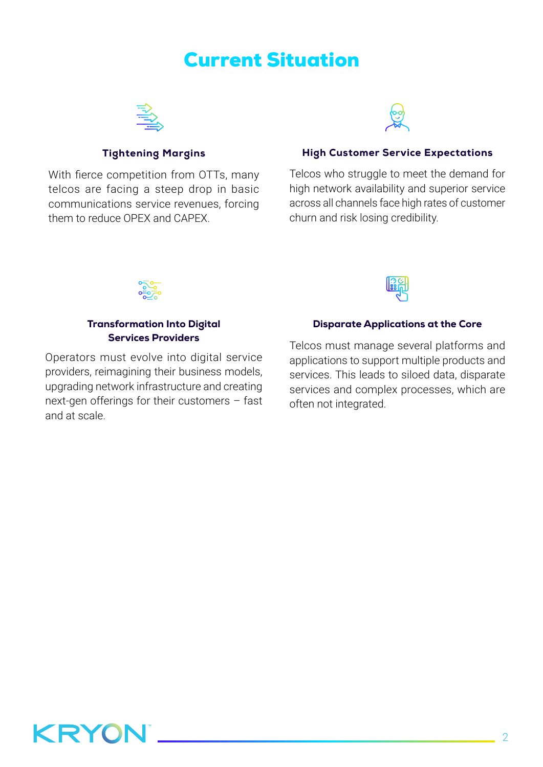### **Current Situation**



#### **Tightening Margins**

With fierce competition from OTTs, many telcos are facing a steep drop in basic communications service revenues, forcing them to reduce OPEX and CAPEX



#### **High Customer Service Expectations**

Telcos who struggle to meet the demand for high network availability and superior service across all channels face high rates of customer churn and risk losing credibility.



#### **Transformation Into Digital Services Providers**

Operators must evolve into digital service providers, reimagining their business models, upgrading network infrastructure and creating next-gen offerings for their customers  $-$  fast and at scale



#### **Disparate Applications at the Core**

Telcos must manage several platforms and applications to support multiple products and services. This leads to siloed data, disparate services and complex processes, which are often not integrated.

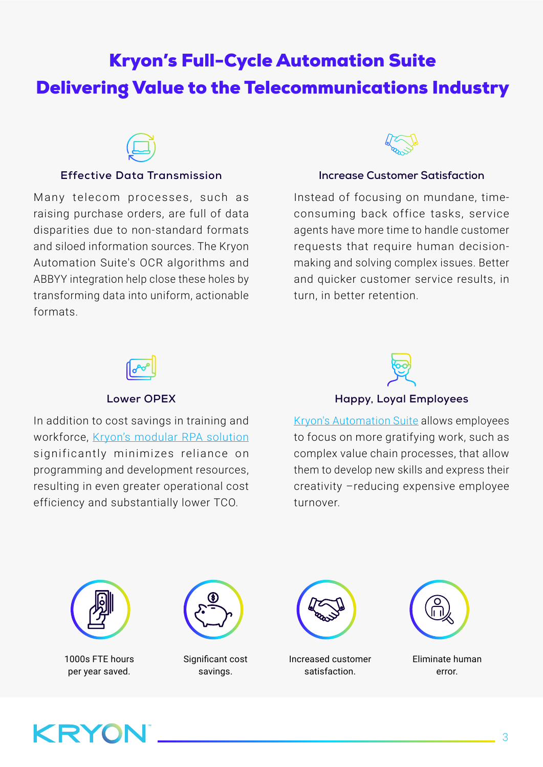# **Kryon's Full-Cycle Automation Suite** Delivering Value to the Telecommunications Industry



#### **Effective Data Transmission**

Many telecom processes, such as raising purchase orders, are full of data disparities due to non-standard formats and siloed information sources. The Kryon Automation Suite's OCR algorithms and ABBYY integration help close these holes by transforming data into uniform, actionable .formats



### **Increase Customer Satisfaction**

consuming back office tasks, service Instead of focusing on mundane, timeagents have more time to handle customer making and solving complex issues. Better requests that require human decisionand quicker customer service results, in turn, in better retention.



#### **Lower OPEX**

In addition to cost savings in training and workforce, Kryon's modular RPA solution significantly minimizes reliance on programming and development resources, resulting in even greater operational cost efficiency and substantially lower TCO.



**Happy, Loyal Employees** 

Kryon's Automation Suite allows employees to focus on more gratifying work, such as complex value chain processes, that allow them to develop new skills and express their creativity -reducing expensive employee turnover.



1000s FTE hours per year saved.



Significant cost savings.



Increased customer satisfaction.



Eliminate human .error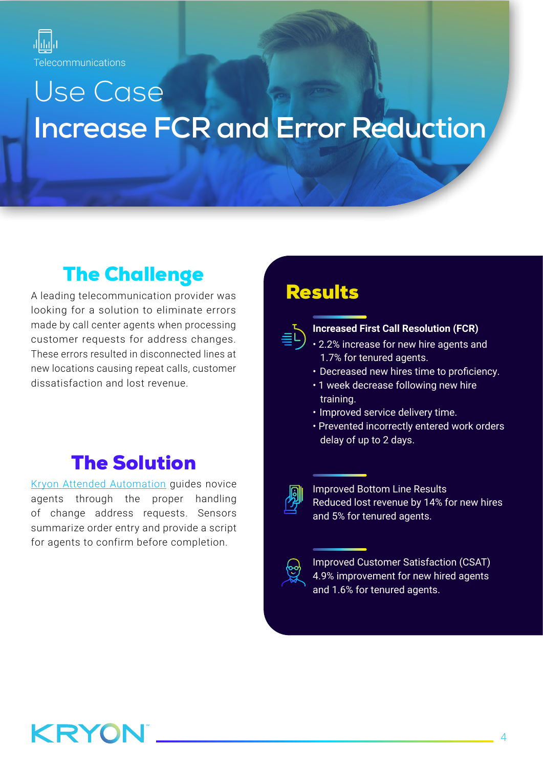

# Use Case **Increase FCR and Error Reduction**

# **The Challenge**

A leading telecommunication provider was looking for a solution to eliminate errors made by call center agents when processing customer requests for address changes. These errors resulted in disconnected lines at new locations causing repeat calls, customer dissatisfaction and lost revenue.

## **The Solution**

Kryon Attended Automation quides novice agents through the proper handling of change address requests. Sensors summarize order entry and provide a script for agents to confirm before completion.

### **Results**



#### **Increased First Call Resolution (FCR)**

- 2.2% increase for new hire agents and 1.7% for tenured agents.
- Decreased new hires time to proficiency.
- 1 week decrease following new hire training.
- Improved service delivery time.
- Prevented incorrectly entered work orders delay of up to 2 days.



**Improved Bottom Line Results** Reduced lost revenue by 14% for new hires and 5% for tenured agents.



Improved Customer Satisfaction (CSAT) 4.9% improvement for new hired agents and 1.6% for tenured agents.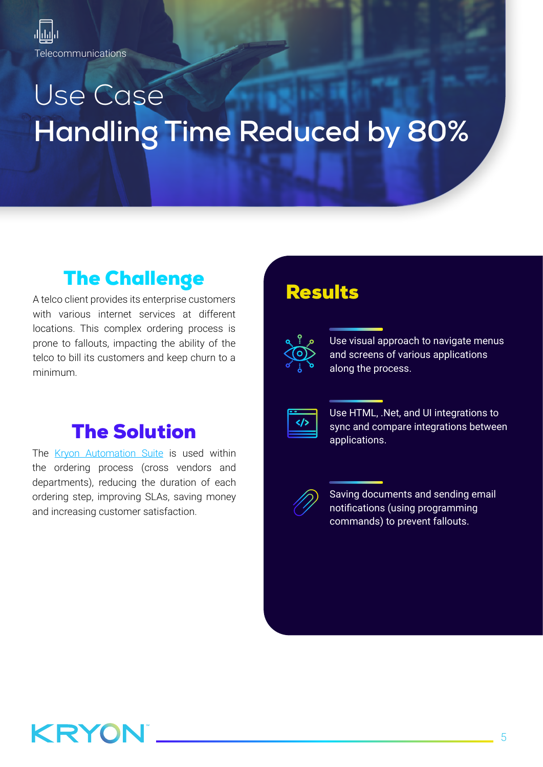**Telecommunications** 

# Use Case **Handling Time Reduced by 80%**

# **The Challenge**

A telco client provides its enterprise customers with various internet services at different locations. This complex ordering process is prone to fallouts, impacting the ability of the telco to bill its customers and keep churn to a .minimum

### **The Solution**

The Kryon Automation Suite is used within the ordering process (cross vendors and departments), reducing the duration of each ordering step, improving SLAs, saving money and increasing customer satisfaction.

### **Results**

| ĭ |  |
|---|--|
|   |  |
|   |  |

Use visual approach to navigate menus and screens of various applications along the process.

Use HTML, .Net, and UI integrations to sync and compare integrations between .applications



Saving documents and sending email notifications (using programming commands) to prevent fallouts.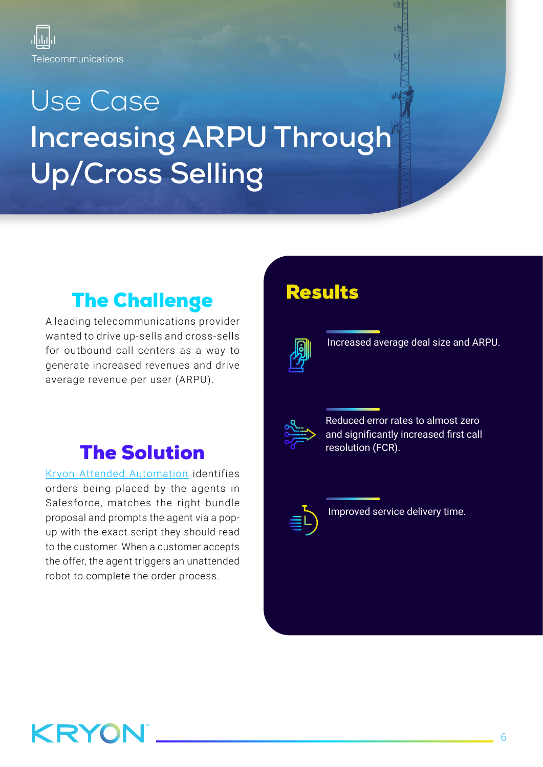

# Use Case **Increasing ARPU Through** Up/Cross Selling

# **The Challenge**

A leading telecommunications provider wanted to drive up-sells and cross-sells for outbound call centers as a way to generate increased revenues and drive average revenue per user (ARPU).

## **The Solution**

Kryon Attended Automation identifies orders being placed by the agents in Salesforce, matches the right bundle up with the exact script they should read proposal and prompts the agent via a popto the customer. When a customer accepts the offer, the agent triggers an unattended robot to complete the order process.

## **Results**



Increased average deal size and ARPU.



Reduced error rates to almost zero and significantly increased first call resolution (FCR).



Improved service delivery time.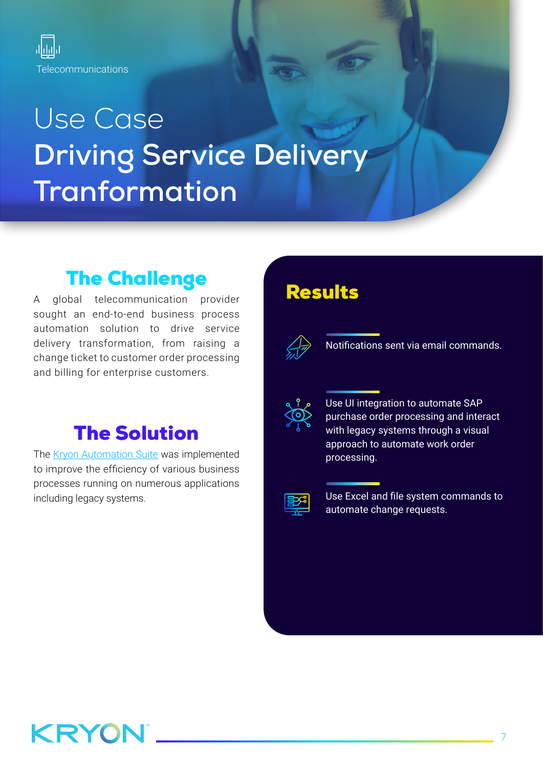

# Use Case **Driving Service Delivery Tranformation**

# **The Challenge**

A global telecommunication provider sought an end-to-end business process automation solution to drive service delivery transformation, from raising a change ticket to customer order processing and billing for enterprise customers.

## **The Solution**

The Kryon Automation Suite was implemented to improve the efficiency of various business processes running on numerous applications including legacy systems.

### Results



Notifications sent via email commands.



Use UI integration to automate SAP purchase order processing and interact with legacy systems through a visual approach to automate work order processing.



Use Excel and file system commands to automate change requests.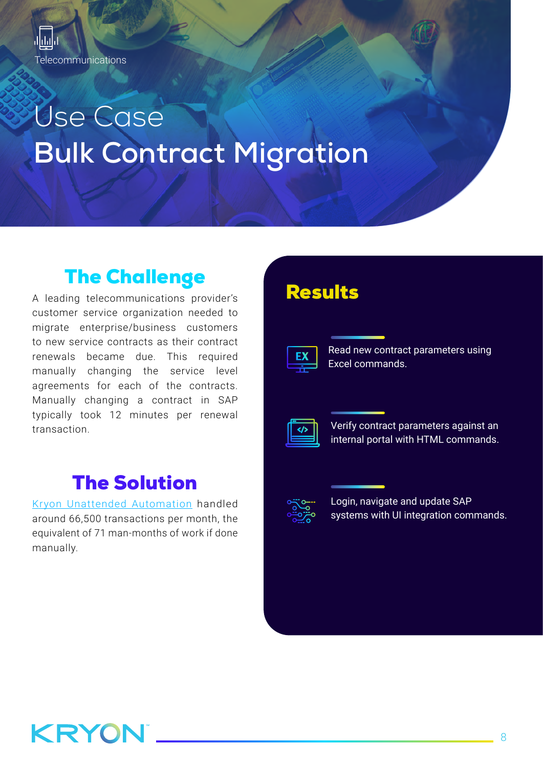

# Use Case **Bulk Contract Migration**

## **The Challenge**

A leading telecommunications provider's customer service organization needed to migrate enterprise/business customers to new service contracts as their contract renewals became due. This required manually changing the service level agreements for each of the contracts. Manually changing a contract in SAP typically took 12 minutes per renewal transaction.

## **The Solution**

Kryon Unattended Automation handled around 66,500 transactions per month, the equivalent of 71 man-months of work if done .manually

### **Results**



Read new contract parameters using Excel commands.



Verify contract parameters against an internal portal with HTML commands.



Login, navigate and update SAP systems with UI integration commands.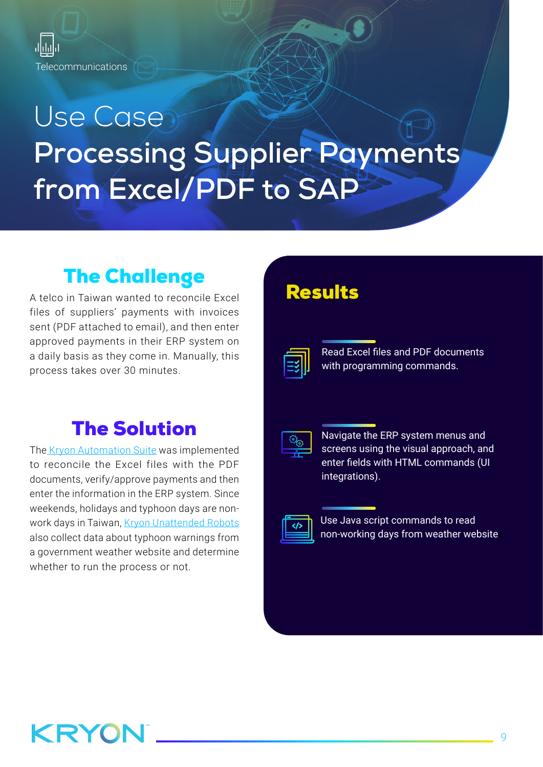

# Use Case **Processing Supplier Payments** from Excel/PDF to SAP

# **The Challenge**

A telco in Taiwan wanted to reconcile Excel files of suppliers' payments with invoices sent (PDF attached to email), and then enter approved payments in their ERP system on a daily basis as they come in. Manually, this process takes over 30 minutes.

## **The Solution**

Th[e](https://www.kryonsystems.com/full-cycle-automation-suite/) Kryon Automation Suite was implemented to reconcile the Excel files with the PDF documents, verify/approve payments and then enter the information in the ERP system. Since work days in Taiwan, Kryon Unattended Robots weekends, holidays and typhoon days are nonalso collect data about typhoon warnings from a government weather website and determine whether to run the process or not.

### **Results**

| ___ |
|-----|
|     |
|     |

Read Excel files and PDF documents with programming commands.

| and the state of the state of the state of the |  |
|------------------------------------------------|--|
|                                                |  |
|                                                |  |
|                                                |  |

Navigate the ERP system menus and screens using the visual approach, and enter fields with HTML commands (UI integrations).

| <b>Contract Contract Contract Contract</b> |  |
|--------------------------------------------|--|

Use Java script commands to read non-working days from weather website